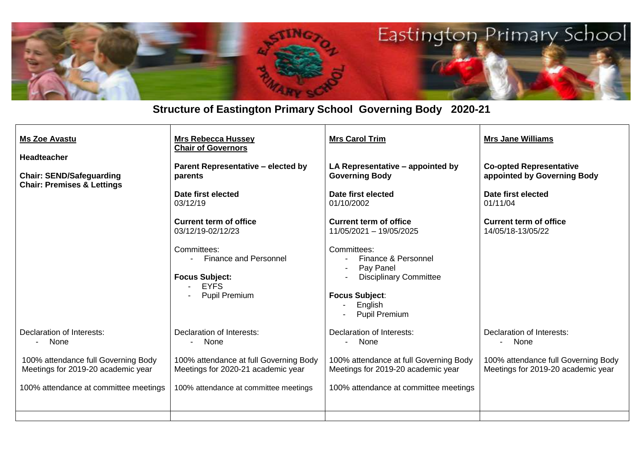

## **Structure of Eastington Primary School Governing Body 2020-21**

| <b>Ms Zoe Avastu</b>                                                                           | <b>Mrs Rebecca Hussey</b><br><b>Chair of Governors</b>                                                 | <b>Mrs Carol Trim</b>                                                                                                                        | <b>Mrs Jane Williams</b>                                                  |
|------------------------------------------------------------------------------------------------|--------------------------------------------------------------------------------------------------------|----------------------------------------------------------------------------------------------------------------------------------------------|---------------------------------------------------------------------------|
| <b>Headteacher</b><br><b>Chair: SEND/Safeguarding</b><br><b>Chair: Premises &amp; Lettings</b> | <b>Parent Representative - elected by</b><br>parents                                                   | LA Representative - appointed by<br><b>Governing Body</b>                                                                                    | <b>Co-opted Representative</b><br>appointed by Governing Body             |
|                                                                                                | Date first elected<br>03/12/19                                                                         | Date first elected<br>01/10/2002                                                                                                             | Date first elected<br>01/11/04                                            |
|                                                                                                | <b>Current term of office</b><br>03/12/19-02/12/23                                                     | Current term of office<br>11/05/2021 - 19/05/2025                                                                                            | <b>Current term of office</b><br>14/05/18-13/05/22                        |
|                                                                                                | Committees:<br>- Finance and Personnel<br><b>Focus Subject:</b><br><b>EYFS</b><br><b>Pupil Premium</b> | Committees:<br>Finance & Personnel<br>Pay Panel<br><b>Disciplinary Committee</b><br><b>Focus Subject:</b><br>English<br><b>Pupil Premium</b> |                                                                           |
| Declaration of Interests:<br>None                                                              | Declaration of Interests:<br>None                                                                      | Declaration of Interests:<br>- None                                                                                                          | Declaration of Interests:<br>None<br>$\blacksquare$                       |
| 100% attendance full Governing Body<br>Meetings for 2019-20 academic year                      | 100% attendance at full Governing Body<br>Meetings for 2020-21 academic year                           | 100% attendance at full Governing Body<br>Meetings for 2019-20 academic year                                                                 | 100% attendance full Governing Body<br>Meetings for 2019-20 academic year |
| 100% attendance at committee meetings                                                          | 100% attendance at committee meetings                                                                  | 100% attendance at committee meetings                                                                                                        |                                                                           |
|                                                                                                |                                                                                                        |                                                                                                                                              |                                                                           |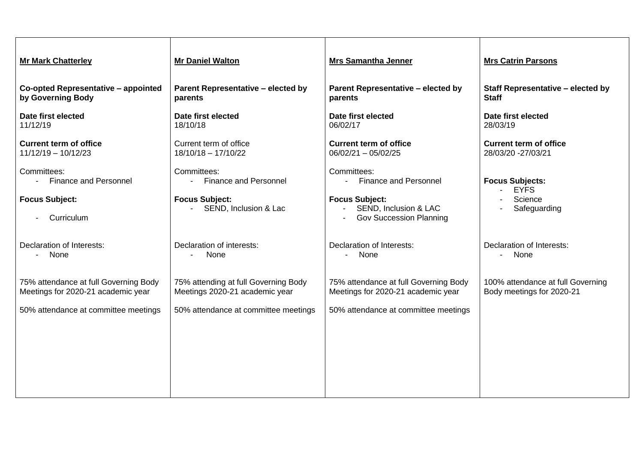| <b>Mr Mark Chatterley</b>                                                   | <b>Mr Daniel Walton</b>                                                | <b>Mrs Samantha Jenner</b>                                                                 | <b>Mrs Catrin Parsons</b>                                      |
|-----------------------------------------------------------------------------|------------------------------------------------------------------------|--------------------------------------------------------------------------------------------|----------------------------------------------------------------|
| Co-opted Representative - appointed<br>by Governing Body                    | <b>Parent Representative - elected by</b><br>parents                   | <b>Parent Representative - elected by</b><br>parents                                       | Staff Representative - elected by<br><b>Staff</b>              |
| Date first elected<br>11/12/19                                              | Date first elected<br>18/10/18                                         | Date first elected<br>06/02/17                                                             | Date first elected<br>28/03/19                                 |
| <b>Current term of office</b><br>$11/12/19 - 10/12/23$                      | Current term of office<br>$18/10/18 - 17/10/22$                        | <b>Current term of office</b><br>$06/02/21 - 05/02/25$                                     | <b>Current term of office</b><br>28/03/20 - 27/03/21           |
| Committees:<br>- Finance and Personnel                                      | Committees:<br><b>Finance and Personnel</b><br>$\sim$                  | Committees:<br>- Finance and Personnel                                                     | <b>Focus Subjects:</b><br><b>EYFS</b><br>$\sim$                |
| <b>Focus Subject:</b><br>Curriculum                                         | <b>Focus Subject:</b><br>SEND, Inclusion & Lac                         | <b>Focus Subject:</b><br>SEND, Inclusion & LAC<br>$\sim$<br><b>Gov Succession Planning</b> | Science<br>Safeguarding<br>$\blacksquare$                      |
| Declaration of Interests:<br>None<br>$\sim 100$                             | Declaration of interests:<br>None                                      | Declaration of Interests:<br>- None                                                        | Declaration of Interests:<br>- None                            |
| 75% attendance at full Governing Body<br>Meetings for 2020-21 academic year | 75% attending at full Governing Body<br>Meetings 2020-21 academic year | 75% attendance at full Governing Body<br>Meetings for 2020-21 academic year                | 100% attendance at full Governing<br>Body meetings for 2020-21 |
| 50% attendance at committee meetings                                        | 50% attendance at committee meetings                                   | 50% attendance at committee meetings                                                       |                                                                |